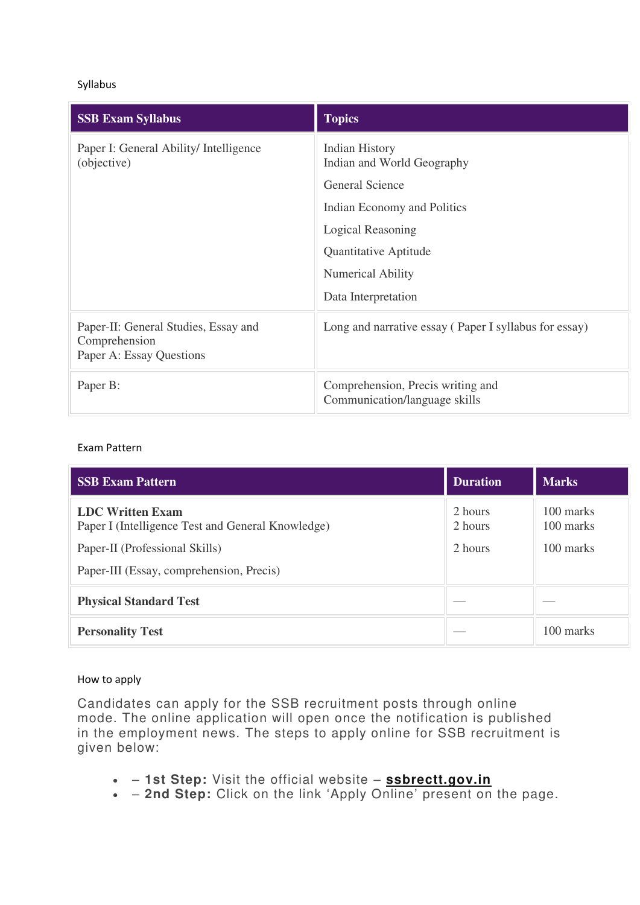## Syllabus

| <b>SSB Exam Syllabus</b>                                                          | <b>Topics</b>                                                      |
|-----------------------------------------------------------------------------------|--------------------------------------------------------------------|
| Paper I: General Ability/ Intelligence<br>(objective)                             | Indian History<br>Indian and World Geography                       |
|                                                                                   | <b>General Science</b>                                             |
|                                                                                   | Indian Economy and Politics                                        |
|                                                                                   | Logical Reasoning                                                  |
|                                                                                   | Quantitative Aptitude                                              |
|                                                                                   | Numerical Ability                                                  |
|                                                                                   | Data Interpretation                                                |
| Paper-II: General Studies, Essay and<br>Comprehension<br>Paper A: Essay Questions | Long and narrative essay (Paper I syllabus for essay)              |
| Paper B:                                                                          | Comprehension, Precis writing and<br>Communication/language skills |

## Exam Pattern

| <b>SSB Exam Pattern</b>                                                      | <b>Duration</b>    | <b>Marks</b>           |
|------------------------------------------------------------------------------|--------------------|------------------------|
| <b>LDC Written Exam</b><br>Paper I (Intelligence Test and General Knowledge) | 2 hours<br>2 hours | 100 marks<br>100 marks |
| Paper-II (Professional Skills)                                               | 2 hours            | 100 marks              |
| Paper-III (Essay, comprehension, Precis)                                     |                    |                        |
| <b>Physical Standard Test</b>                                                |                    |                        |
| <b>Personality Test</b>                                                      |                    | 100 marks              |

## How to apply

Candidates can apply for the SSB recruitment posts through online mode. The online application will open once the notification is published in the employment news. The steps to apply online for SSB recruitment is given below:

- **1st Step:** Visit the official website **[ssbrectt.gov.in](http://www.ssbrectt.gov.in/)**
- **2nd Step:** Click on the link 'Apply Online' present on the page.